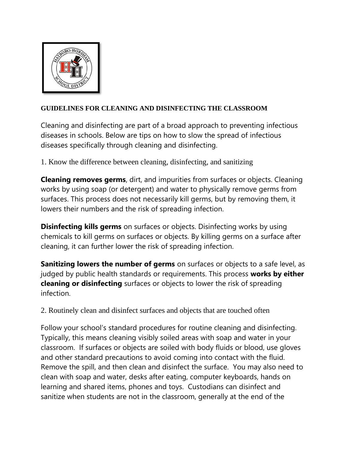

## **GUIDELINES FOR CLEANING AND DISINFECTING THE CLASSROOM**

Cleaning and disinfecting are part of a broad approach to preventing infectious diseases in schools. Below are tips on how to slow the spread of infectious diseases specifically through cleaning and disinfecting.

1. Know the difference between cleaning, disinfecting, and sanitizing

**Cleaning removes germs**, dirt, and impurities from surfaces or objects. Cleaning works by using soap (or detergent) and water to physically remove germs from surfaces. This process does not necessarily kill germs, but by removing them, it lowers their numbers and the risk of spreading infection.

**Disinfecting kills germs** on surfaces or objects. Disinfecting works by using chemicals to kill germs on surfaces or objects. By killing germs on a surface after cleaning, it can further lower the risk of spreading infection.

**Sanitizing lowers the number of germs** on surfaces or objects to a safe level, as judged by public health standards or requirements. This process **works by either cleaning or disinfecting** surfaces or objects to lower the risk of spreading infection.

2. Routinely clean and disinfect surfaces and objects that are touched often

Follow your school's standard procedures for routine cleaning and disinfecting. Typically, this means cleaning visibly soiled areas with soap and water in your classroom. If surfaces or objects are soiled with body fluids or blood, use gloves and other standard precautions to avoid coming into contact with the fluid. Remove the spill, and then clean and disinfect the surface. You may also need to clean with soap and water, desks after eating, computer keyboards, hands on learning and shared items, phones and toys. Custodians can disinfect and sanitize when students are not in the classroom, generally at the end of the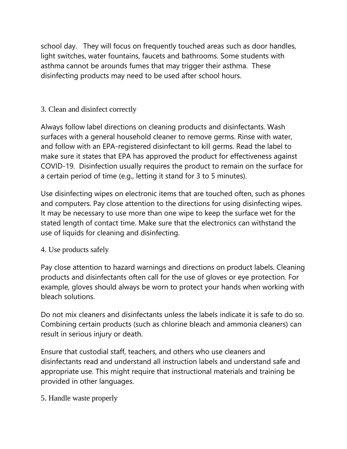school day. They will focus on frequently touched areas such as door handles, light switches, water fountains, faucets and bathrooms. Some students with asthma cannot be arounds fumes that may trigger their asthma. These disinfecting products may need to be used after school hours.

## 3. Clean and disinfect correctly

Always follow label directions on cleaning products and disinfectants. Wash surfaces with a general household cleaner to remove germs. Rinse with water, and follow with an EPA-registered disinfectant to kill germs. Read the label to make sure it states that EPA has approved the product for effectiveness against COVID-19. Disinfection usually requires the product to remain on the surface for a certain period of time (e.g., letting it stand for 3 to 5 minutes).

Use disinfecting wipes on electronic items that are touched often, such as phones and computers. Pay close attention to the directions for using disinfecting wipes. It may be necessary to use more than one wipe to keep the surface wet for the stated length of contact time. Make sure that the electronics can withstand the use of liquids for cleaning and disinfecting.

## 4. Use products safely

Pay close attention to hazard warnings and directions on product labels. Cleaning products and disinfectants often call for the use of gloves or eye protection. For example, gloves should always be worn to protect your hands when working with bleach solutions.

Do not mix cleaners and disinfectants unless the labels indicate it is safe to do so. Combining certain products (such as chlorine bleach and ammonia cleaners) can result in serious injury or death.

Ensure that custodial staff, teachers, and others who use cleaners and disinfectants read and understand all instruction labels and understand safe and appropriate use. This might require that instructional materials and training be provided in other languages.

5. Handle waste properly